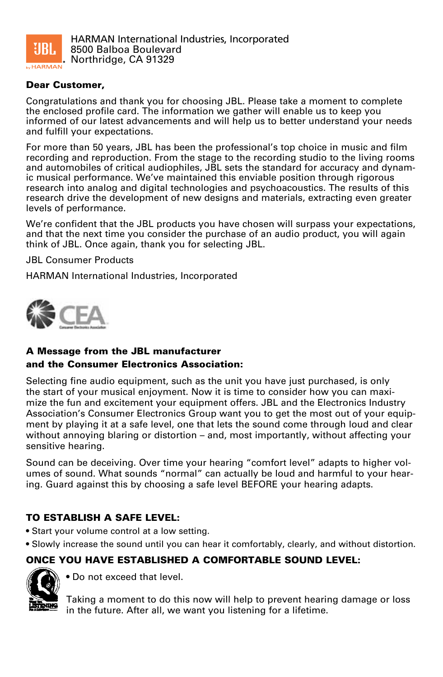

### Dear Customer,

Congratulations and thank you for choosing JBL. Please take a moment to complete the enclosed profile card. The information we gather will enable us to keep you informed of our latest advancements and will help us to better understand your needs and fulfill your expectations.

For more than 50 years, JBL has been the professional's top choice in music and film recording and reproduction. From the stage to the recording studio to the living rooms and automobiles of critical audiophiles, JBL sets the standard for accuracy and dynamic musical performance. We've maintained this enviable position through rigorous research into analog and digital technologies and psychoacoustics. The results of this research drive the development of new designs and materials, extracting even greater levels of performance.

We're confident that the JBL products you have chosen will surpass your expectations, and that the next time you consider the purchase of an audio product, you will again think of JBL. Once again, thank you for selecting JBL.

JBL Consumer Products

HARMAN International Industries, Incorporated



# A Message from the JBL manufacturer and the Consumer Electronics Association:

Selecting fine audio equipment, such as the unit you have just purchased, is only the start of your musical enjoyment. Now it is time to consider how you can maximize the fun and excitement your equipment offers. JBL and the Electronics Industry Association's Consumer Electronics Group want you to get the most out of your equipment by playing it at a safe level, one that lets the sound come through loud and clear without annoving blaring or distortion – and, most importantly, without affecting your sensitive hearing.

Sound can be deceiving. Over time your hearing "comfort level" adapts to higher volumes of sound. What sounds "normal" can actually be loud and harmful to your hearing. Guard against this by choosing a safe level BEFORE your hearing adapts.

# TO ESTABLISH A SAFE LEVEL:

- Start your volume control at a low setting.
- Slowly increase the sound until you can hear it comfortably, clearly, and without distortion.

# ONCE YOU HAVE ESTABLISHED A COMFORTABLE SOUND LEVEL:



• Do not exceed that level.

Taking a moment to do this now will help to prevent hearing damage or loss in the future. After all, we want you listening for a lifetime.